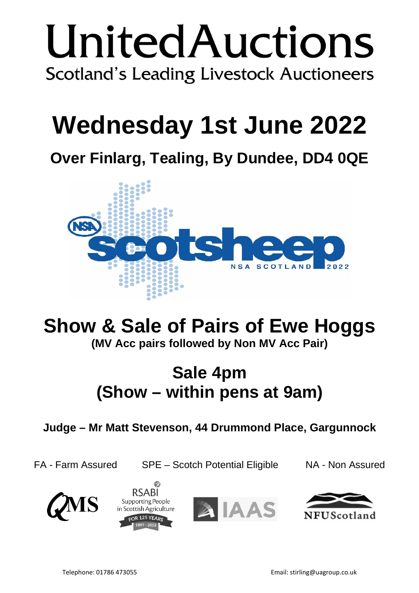# UnitedAuctions **Scotland's Leading Livestock Auctioneers**

# **Wednesday 1st June 2022**

**Over Finlarg, Tealing, By Dundee, DD4 0QE**



# **Show & Sale of Pairs of Ewe Hoggs**

**(MV Acc pairs followed by Non MV Acc Pair)**

# **Sale 4pm (Show – within pens at 9am)**

**Judge – Mr Matt Stevenson, 44 Drummond Place, Gargunnock**

FA - Farm Assured SPE – Scotch Potential Eligible NA - Non Assured







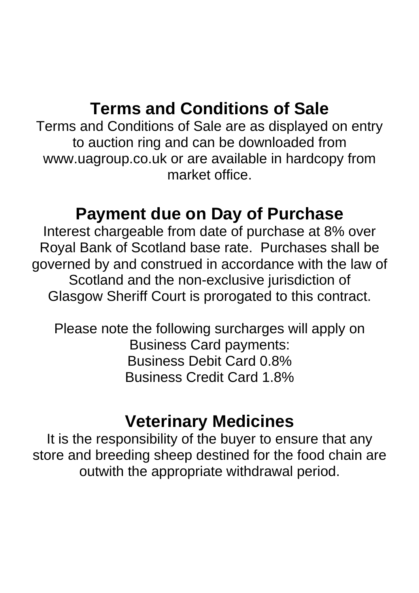# **Terms and Conditions of Sale**

Terms and Conditions of Sale are as displayed on entry to auction ring and can be downloaded from www.uagroup.co.uk or are available in hardcopy from market office.

# **Payment due on Day of Purchase**

Interest chargeable from date of purchase at 8% over Royal Bank of Scotland base rate. Purchases shall be governed by and construed in accordance with the law of Scotland and the non-exclusive jurisdiction of Glasgow Sheriff Court is prorogated to this contract.

Please note the following surcharges will apply on Business Card payments: Business Debit Card 0.8% Business Credit Card 1.8%

# **Veterinary Medicines**

It is the responsibility of the buyer to ensure that any store and breeding sheep destined for the food chain are outwith the appropriate withdrawal period.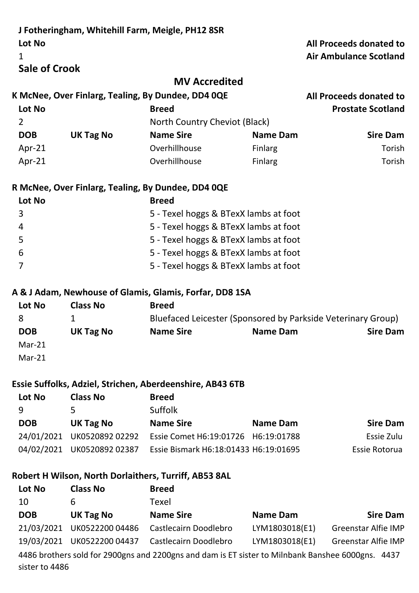|                                            |                            | J Fotheringham, Whitehill Farm, Meigle, PH12 8SR             |                 |                                                          |
|--------------------------------------------|----------------------------|--------------------------------------------------------------|-----------------|----------------------------------------------------------|
| Lot No<br>1                                |                            |                                                              |                 | All Proceeds donated to<br><b>Air Ambulance Scotland</b> |
| <b>Sale of Crook</b>                       |                            |                                                              |                 |                                                          |
|                                            |                            | <b>MV Accredited</b>                                         |                 |                                                          |
|                                            |                            | K McNee, Over Finlarg, Tealing, By Dundee, DD4 0QE           |                 | All Proceeds donated to                                  |
| Lot No                                     |                            | <b>Breed</b>                                                 |                 | <b>Prostate Scotland</b>                                 |
| $\overline{2}$                             |                            | North Country Cheviot (Black)                                |                 |                                                          |
| <b>DOB</b>                                 | <b>UK Tag No</b>           | <b>Name Sire</b>                                             | <b>Name Dam</b> | <b>Sire Dam</b>                                          |
| Apr-21                                     |                            | Overhillhouse                                                | Finlarg         | Torish                                                   |
| Apr-21                                     |                            | Overhillhouse                                                | Finlarg         | Torish                                                   |
|                                            |                            | R McNee, Over Finlarg, Tealing, By Dundee, DD4 0QE           |                 |                                                          |
| Lot No                                     |                            | <b>Breed</b>                                                 |                 |                                                          |
| 3                                          |                            | 5 - Texel hoggs & BTexX lambs at foot                        |                 |                                                          |
| $\overline{4}$                             |                            | 5 - Texel hoggs & BTexX lambs at foot                        |                 |                                                          |
| 5                                          |                            | 5 - Texel hoggs & BTexX lambs at foot                        |                 |                                                          |
| 6<br>5 - Texel hoggs & BTexX lambs at foot |                            |                                                              |                 |                                                          |
| $\overline{7}$                             |                            | 5 - Texel hoggs & BTexX lambs at foot                        |                 |                                                          |
|                                            |                            | A & J Adam, Newhouse of Glamis, Glamis, Forfar, DD8 1SA      |                 |                                                          |
| Lot No                                     | <b>Class No</b>            | <b>Breed</b>                                                 |                 |                                                          |
| 8                                          | 1                          | Bluefaced Leicester (Sponsored by Parkside Veterinary Group) |                 |                                                          |
| <b>DOB</b>                                 | <b>UK Tag No</b>           | <b>Name Sire</b>                                             | Name Dam        | <b>Sire Dam</b>                                          |
| $Mar-21$                                   |                            |                                                              |                 |                                                          |
| $Mar-21$                                   |                            |                                                              |                 |                                                          |
|                                            |                            | Essie Suffolks, Adziel, Strichen, Aberdeenshire, AB43 6TB    |                 |                                                          |
| Lot No                                     | <b>Class No</b>            | <b>Breed</b>                                                 |                 |                                                          |
| 9                                          | 5                          | Suffolk                                                      |                 |                                                          |
| <b>DOB</b>                                 | <b>UK Tag No</b>           | <b>Name Sire</b>                                             | <b>Name Dam</b> | <b>Sire Dam</b>                                          |
|                                            | 24/01/2021 UK0520892 02292 | Essie Comet H6:19:01726 H6:19:01788                          |                 | Essie Zulu                                               |
|                                            | 04/02/2021 UK0520892 02387 | Essie Bismark H6:18:01433 H6:19:01695                        |                 | Essie Rotorua                                            |
|                                            |                            | Robert H Wilson, North Dorlaithers, Turriff, AB53 8AL        |                 |                                                          |
| Lot No                                     | <b>Class No</b>            | <b>Breed</b>                                                 |                 |                                                          |
| 10                                         | 6                          | <b>Texel</b>                                                 |                 |                                                          |
| <b>DOB</b>                                 | <b>UK Tag No</b>           | <b>Name Sire</b>                                             | <b>Name Dam</b> | <b>Sire Dam</b>                                          |
|                                            | 21/03/2021 UK0522200 04486 | Castlecairn Doodlebro                                        | LYM1803018(E1)  | <b>Greenstar Alfie IMP</b>                               |
|                                            | 19/03/2021 UK0522200 04437 | Castlecairn Doodlebro                                        | LYM1803018(E1)  | <b>Greenstar Alfie IMP</b>                               |

4486 brothers sold for 2900gns and 2200gns and dam is ET sister to Milnbank Banshee 6000gns. 4437 sister to 4486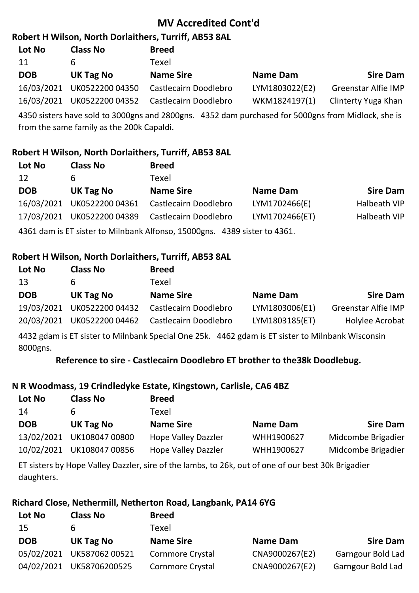# **MV Accredited Cont'd**

## **Robert H Wilson, North Dorlaithers, Turriff, AB53 8AL**

| Lot No     | <b>Class No</b> | <b>Breed</b>                          |                 |                            |
|------------|-----------------|---------------------------------------|-----------------|----------------------------|
| 11         | <sub>b</sub>    | Texel                                 |                 |                            |
| <b>DOB</b> | UK Tag No       | <b>Name Sire</b>                      | <b>Name Dam</b> | <b>Sire Dam</b>            |
| 16/03/2021 | UK0522200 04350 | Castlecairn Doodlebro                 | LYM1803022(E2)  | <b>Greenstar Alfie IMP</b> |
| 16/03/2021 |                 | UK0522200 04352 Castlecairn Doodlebro | WKM1824197(1)   | Clinterty Yuga Khan        |

4350 sisters have sold to 3000gns and 2800gns. 4352 dam purchased for 5000gns from Midlock, she is from the same family as the 200k Capaldi.

# **Robert H Wilson, North Dorlaithers, Turriff, AB53 8AL**

| Lot No     | <b>Class No</b>            | <b>Breed</b>                                                           |                 |                 |
|------------|----------------------------|------------------------------------------------------------------------|-----------------|-----------------|
| 12         | 6                          | Texel                                                                  |                 |                 |
| <b>DOB</b> | UK Tag No                  | <b>Name Sire</b>                                                       | <b>Name Dam</b> | <b>Sire Dam</b> |
|            | 16/03/2021 UK0522200 04361 | Castlecairn Doodlebro                                                  | LYM1702466(E)   | Halbeath VIP    |
|            | 17/03/2021 UK0522200 04389 | Castlecairn Doodlebro                                                  | LYM1702466(ET)  | Halbeath VIP    |
|            |                            | 4361 dam is FT sister to Milnhank Alfonso 15000gns 4389 sister to 4361 |                 |                 |

4361 dam is ET sister to Milnbank Alfonso, 15000gns. 4389 sister to 4361.

## **Robert H Wilson, North Dorlaithers, Turriff, AB53 8AL**

| Lot No     | <b>Class No</b>                                                                                 | <b>Breed</b>          |                |                            |  |
|------------|-------------------------------------------------------------------------------------------------|-----------------------|----------------|----------------------------|--|
| 13         | b                                                                                               | Texel                 |                |                            |  |
| <b>DOB</b> | UK Tag No                                                                                       | <b>Name Sire</b>      | Name Dam       | <b>Sire Dam</b>            |  |
|            | 19/03/2021 UK0522200 04432                                                                      | Castlecairn Doodlebro | LYM1803006(E1) | <b>Greenstar Alfie IMP</b> |  |
|            | 20/03/2021 UK0522200 04462                                                                      | Castlecairn Doodlebro | LYM1803185(ET) | Holylee Acrobat            |  |
|            | ALOS edam is FT sister to Milabonk Cnosial One 3Fk ALCS edam is FT sister to Milabonk Wisconsin |                       |                |                            |  |

4432 gdam is ET sister to Milnbank Special One 25k. 4462 gdam is ET sister to Milnbank Wisconsin 8000gns.

**Reference to sire - Castlecairn Doodlebro ET brother to the38k Doodlebug.**

# **N R Woodmass, 19 Crindledyke Estate, Kingstown, Carlisle, CA6 4BZ**

| Lot No     | <b>Class No</b>           | <b>Breed</b>               |                 |                    |
|------------|---------------------------|----------------------------|-----------------|--------------------|
| 14         |                           | Texel                      |                 |                    |
| <b>DOB</b> | UK Tag No                 | <b>Name Sire</b>           | <b>Name Dam</b> | <b>Sire Dam</b>    |
| 13/02/2021 | UK108047 00800            | <b>Hope Valley Dazzler</b> | WHH1900627      | Midcombe Brigadier |
|            | 10/02/2021 UK108047 00856 | <b>Hope Valley Dazzler</b> | WHH1900627      | Midcombe Brigadier |

ET sisters by Hope Valley Dazzler, sire of the lambs, to 26k, out of one of our best 30k Brigadier daughters.

#### **Richard Close, Nethermill, Netherton Road, Langbank, PA14 6YG Lot No Class No Breed**

| <b>Sire Dam</b><br><b>Name Dam</b>  |
|-------------------------------------|
| CNA9000267(E2)<br>Garngour Bold Lad |
| CNA9000267(E2)<br>Garngour Bold Lad |
|                                     |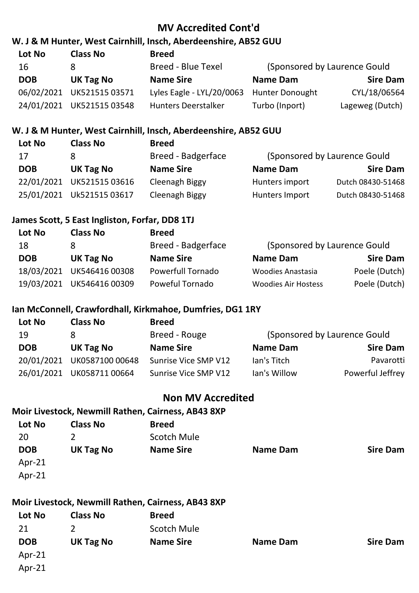## **MV Accredited Cont'd**

### **W. J & M Hunter, West Cairnhill, Insch, Aberdeenshire, AB52 GUU**

| Lot No     | <b>Class No</b>           | <b>Breed</b>               |                        |                               |
|------------|---------------------------|----------------------------|------------------------|-------------------------------|
| 16         |                           | <b>Breed - Blue Texel</b>  |                        | (Sponsored by Laurence Gould) |
| <b>DOB</b> | UK Tag No                 | <b>Name Sire</b>           | Name Dam               | <b>Sire Dam</b>               |
| 06/02/2021 | UK52151503571             | Lyles Eagle - LYL/20/0063  | <b>Hunter Donought</b> | CYL/18/06564                  |
|            | 24/01/2021 UK521515 03548 | <b>Hunters Deerstalker</b> | Turbo (Inport)         | Lageweg (Dutch)               |

### **W. J & M Hunter, West Cairnhill, Insch, Aberdeenshire, AB52 GUU**

| <b>Class No</b>           | <b>Breed</b>       |                 |                               |
|---------------------------|--------------------|-----------------|-------------------------------|
|                           | Breed - Badgerface |                 | (Sponsored by Laurence Gould) |
| UK Tag No                 | <b>Name Sire</b>   | <b>Name Dam</b> | <b>Sire Dam</b>               |
| 22/01/2021 UK521515 03616 | Cleenagh Biggy     | Hunters import  | Dutch 08430-51468             |
| 25/01/2021 Uk521515 03617 | Cleenagh Biggy     | Hunters Import  | Dutch 08430-51468             |
|                           |                    |                 |                               |

### **James Scott, 5 East Ingliston, Forfar, DD8 1TJ**

| Lot No     | <b>Class No</b>           | <b>Breed</b>             |                              |                 |
|------------|---------------------------|--------------------------|------------------------------|-----------------|
| 18         |                           | Breed - Badgerface       | (Sponsored by Laurence Gould |                 |
| <b>DOB</b> | UK Tag No                 | <b>Name Sire</b>         | <b>Name Dam</b>              | <b>Sire Dam</b> |
|            | 18/03/2021 UK546416 00308 | <b>Powerfull Tornado</b> | <b>Woodies Anastasia</b>     | Poele (Dutch)   |
|            | 19/03/2021 UK546416 00309 | Poweful Tornado          | <b>Woodies Air Hostess</b>   | Poele (Dutch)   |
|            |                           |                          |                              |                 |

### **Ian McConnell, Crawfordhall, Kirkmahoe, Dumfries, DG1 1RY**

| Lot No     | <b>Class No</b>            | <b>Breed</b>         |                 |                               |
|------------|----------------------------|----------------------|-----------------|-------------------------------|
| 19         |                            | Breed - Rouge        |                 | (Sponsored by Laurence Gould) |
| <b>DOB</b> | UK Tag No                  | <b>Name Sire</b>     | <b>Name Dam</b> | <b>Sire Dam</b>               |
|            | 20/01/2021 UK0587100 00648 | Sunrise Vice SMP V12 | lan's Titch     | Pavarotti                     |
|            | 26/01/2021 UK058711 00664  | Sunrise Vice SMP V12 | lan's Willow    | Powerful Jeffrey              |
|            |                            |                      |                 |                               |

### **Non MV Accredited**

## **Moir Livestock, Newmill Rathen, Cairness, AB43 8XP**

| Lot No     | <b>Class No</b>  | <b>Breed</b>       |                 |                 |
|------------|------------------|--------------------|-----------------|-----------------|
| 20         |                  | <b>Scotch Mule</b> |                 |                 |
| <b>DOB</b> | <b>UK Tag No</b> | <b>Name Sire</b>   | <b>Name Dam</b> | <b>Sire Dam</b> |
| Apr- $21$  |                  |                    |                 |                 |
| Apr- $21$  |                  |                    |                 |                 |
|            |                  |                    |                 |                 |

# **Moir Livestock, Newmill Rathen, Cairness, AB43 8XP**

| Lot No     | <b>Class No</b>  | <b>Breed</b>       |                 |                 |
|------------|------------------|--------------------|-----------------|-----------------|
| 21         |                  | <b>Scotch Mule</b> |                 |                 |
| <b>DOB</b> | <b>UK Tag No</b> | <b>Name Sire</b>   | <b>Name Dam</b> | <b>Sire Dam</b> |
| $Apr-21$   |                  |                    |                 |                 |
| Apr-21     |                  |                    |                 |                 |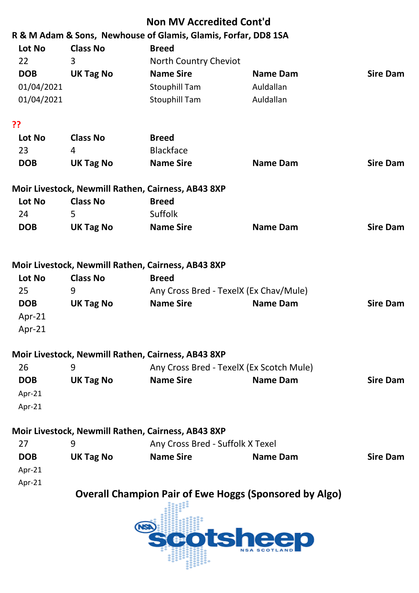| <b>Sire Dam</b>                          |  |  |  |
|------------------------------------------|--|--|--|
|                                          |  |  |  |
|                                          |  |  |  |
|                                          |  |  |  |
|                                          |  |  |  |
|                                          |  |  |  |
| <b>Sire Dam</b>                          |  |  |  |
|                                          |  |  |  |
|                                          |  |  |  |
|                                          |  |  |  |
| <b>Sire Dam</b>                          |  |  |  |
|                                          |  |  |  |
|                                          |  |  |  |
|                                          |  |  |  |
|                                          |  |  |  |
| <b>Sire Dam</b>                          |  |  |  |
|                                          |  |  |  |
|                                          |  |  |  |
|                                          |  |  |  |
| Any Cross Bred - TexelX (Ex Scotch Mule) |  |  |  |
| <b>Sire Dam</b>                          |  |  |  |
|                                          |  |  |  |
|                                          |  |  |  |
|                                          |  |  |  |
|                                          |  |  |  |
| <b>Sire Dam</b>                          |  |  |  |
|                                          |  |  |  |
|                                          |  |  |  |
|                                          |  |  |  |
|                                          |  |  |  |
|                                          |  |  |  |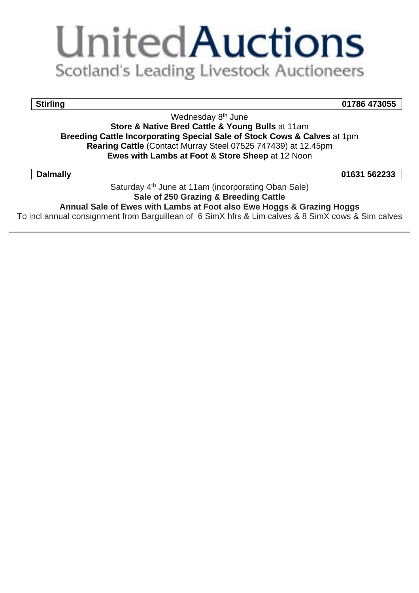# **UnitedAuctions** Scotland's Leading Livestock Auctioneers

**Stirling 01786 473055**

Wednesday 8<sup>th</sup> June **Store & Native Bred Cattle & Young Bulls** at 11am **Breeding Cattle Incorporating Special Sale of Stock Cows & Calves** at 1pm **Rearing Cattle** (Contact Murray Steel 07525 747439) at 12.45pm **Ewes with Lambs at Foot & Store Sheep** at 12 Noon

**Dalmally 01631 562233**

Saturday 4<sup>th</sup> June at 11am (incorporating Oban Sale) **Sale of 250 Grazing & Breeding Cattle Annual Sale of Ewes with Lambs at Foot also Ewe Hoggs & Grazing Hoggs**

To incl annual consignment from Barguillean of 6 SimX hfrs & Lim calves & 8 SimX cows & Sim calves